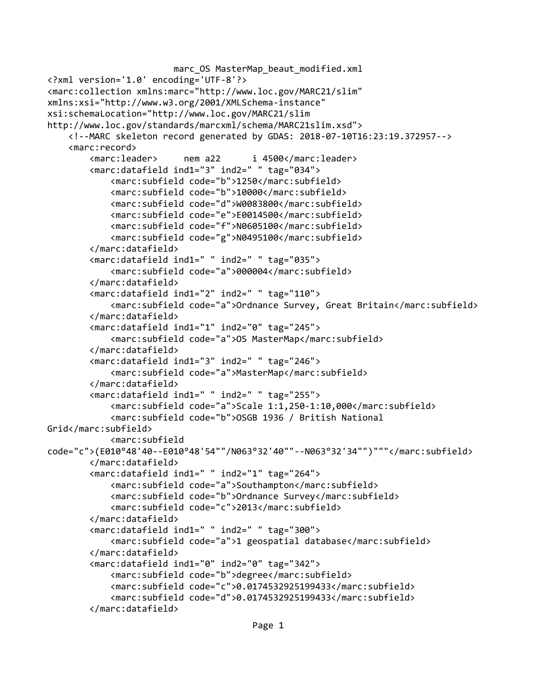```
marc OS MasterMap beaut modified.xml
<?xml version='1.0' encoding='UTF-8'?>
<marc:collection xmlns:marc="http://www.loc.gov/MARC21/slim" 
xmlns:xsi="http://www.w3.org/2001/XMLSchema-instance" 
xsi:schemaLocation="http://www.loc.gov/MARC21/slim 
http://www.loc.gov/standards/marcxml/schema/MARC21slim.xsd">
     <!--MARC skeleton record generated by GDAS: 2018-07-10T16:23:19.372957-->
     <marc:record>
         <marc:leader> nem a22 i 4500</marc:leader>
         <marc:datafield ind1="3" ind2=" " tag="034">
             <marc:subfield code="b">1250</marc:subfield>
             <marc:subfield code="b">10000</marc:subfield>
             <marc:subfield code="d">W0083800</marc:subfield>
             <marc:subfield code="e">E0014500</marc:subfield>
             <marc:subfield code="f">N0605100</marc:subfield>
             <marc:subfield code="g">N0495100</marc:subfield>
         </marc:datafield>
         <marc:datafield ind1=" " ind2=" " tag="035">
             <marc:subfield code="a">000004</marc:subfield>
         </marc:datafield>
         <marc:datafield ind1="2" ind2=" " tag="110">
             <marc:subfield code="a">Ordnance Survey, Great Britain</marc:subfield>
         </marc:datafield>
         <marc:datafield ind1="1" ind2="0" tag="245">
             <marc:subfield code="a">OS MasterMap</marc:subfield>
         </marc:datafield>
         <marc:datafield ind1="3" ind2=" " tag="246">
             <marc:subfield code="a">MasterMap</marc:subfield>
         </marc:datafield>
         <marc:datafield ind1=" " ind2=" " tag="255">
             <marc:subfield code="a">Scale 1:1,250-1:10,000</marc:subfield>
             <marc:subfield code="b">OSGB 1936 / British National 
Grid</marc:subfield>
             <marc:subfield 
code="c">(E010°48'40--E010°48'54""/N063°32'40""--N063°32'34"")"""</marc:subfield>
         </marc:datafield>
         <marc:datafield ind1=" " ind2="1" tag="264">
             <marc:subfield code="a">Southampton</marc:subfield>
             <marc:subfield code="b">Ordnance Survey</marc:subfield>
             <marc:subfield code="c">2013</marc:subfield>
         </marc:datafield>
         <marc:datafield ind1=" " ind2=" " tag="300">
             <marc:subfield code="a">1 geospatial database</marc:subfield>
         </marc:datafield>
         <marc:datafield ind1="0" ind2="0" tag="342">
             <marc:subfield code="b">degree</marc:subfield>
             <marc:subfield code="c">0.0174532925199433</marc:subfield>
             <marc:subfield code="d">0.0174532925199433</marc:subfield>
         </marc:datafield>
```